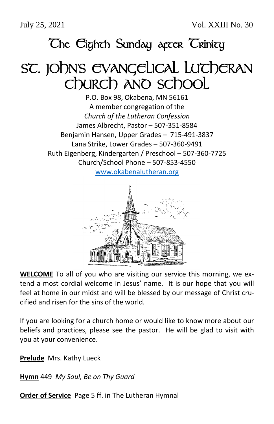July 25, 2021 Vol. XXIII No. 30

## **The Eighth Sunday arcer Trinity**

# SC. JOhn's EVANGELICAL LUTCHERAN Church and school

P.O. Box 98, Okabena, MN 56161 A member congregation of the *Church of the Lutheran Confession* James Albrecht, Pastor – 507-351-8584 Benjamin Hansen, Upper Grades – 715-491-3837 Lana Strike, Lower Grades – 507-360-9491 Ruth Eigenberg, Kindergarten / Preschool – 507-360-7725 Church/School Phone – 507-853-4550

[www.okabenalutheran.org](http://www.okabenalutheran.org/)



**WELCOME** To all of you who are visiting our service this morning, we extend a most cordial welcome in Jesus' name. It is our hope that you will feel at home in our midst and will be blessed by our message of Christ crucified and risen for the sins of the world.

If you are looking for a church home or would like to know more about our beliefs and practices, please see the pastor. He will be glad to visit with you at your convenience.

**Prelude** Mrs. Kathy Lueck

**Hymn** 449 *My Soul, Be on Thy Guard*

**Order of Service** Page 5 ff. in The Lutheran Hymnal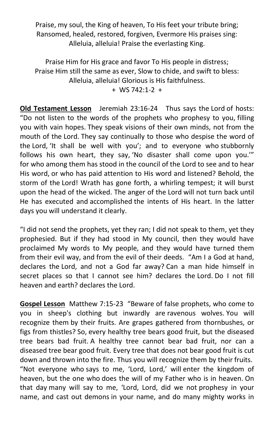Praise, my soul, the King of heaven, To His feet your tribute bring; Ransomed, healed, restored, forgiven, Evermore His praises sing: Alleluia, alleluia! Praise the everlasting King.

Praise Him for His grace and favor To His people in distress; Praise Him still the same as ever, Slow to chide, and swift to bless: Alleluia, alleluia! Glorious is His faithfulness. + WS 742:1-2 +

**Old Testament Lesson** Jeremiah 23:16-24 Thus says the Lord of hosts: "Do not listen to the words of the prophets who prophesy to you, filling you with vain hopes. They speak visions of their own minds, not from the mouth of the Lord. They say continually to those who despise the word of the Lord, 'It shall be well with you'; and to everyone who stubbornly follows his own heart, they say, 'No disaster shall come upon you.'" for who among them has stood in the council of the Lord to see and to hear His word, or who has paid attention to His word and listened? Behold, the storm of the Lord! Wrath has gone forth, a whirling tempest; it will burst upon the head of the wicked. The anger of the Lord will not turn back until He has executed and accomplished the intents of His heart. In the latter days you will understand it clearly.

"I did not send the prophets, yet they ran; I did not speak to them, yet they prophesied. But if they had stood in My council, then they would have proclaimed My words to My people, and they would have turned them from their evil way, and from the evil of their deeds. "Am I a God at hand, declares the Lord, and not a God far away? Can a man hide himself in secret places so that I cannot see him? declares the Lord. Do I not fill heaven and earth? declares the Lord.

**Gospel Lesson** Matthew 7:15-23 "Beware of false prophets, who come to you in sheep's clothing but inwardly are ravenous wolves. You will recognize them by their fruits. Are grapes gathered from thornbushes, or figs from thistles? So, every healthy tree bears good fruit, but the diseased tree bears bad fruit. A healthy tree cannot bear bad fruit, nor can a diseased tree bear good fruit. Every tree that does not bear good fruit is cut down and thrown into the fire. Thus you will recognize them by their fruits. "Not everyone who says to me, 'Lord, Lord,' will enter the kingdom of heaven, but the one who does the will of my Father who is in heaven. On that day many will say to me, 'Lord, Lord, did we not prophesy in your name, and cast out demons in your name, and do many mighty works in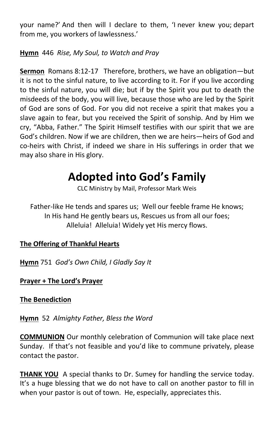your name?' And then will I declare to them, 'I never knew you; depart from me, you workers of lawlessness.'

### **Hymn** 446 *Rise, My Soul, to Watch and Pray*

**Sermon** Romans 8:12-17 Therefore, brothers, we have an obligation—but it is not to the sinful nature, to live according to it. For if you live according to the sinful nature, you will die; but if by the Spirit you put to death the misdeeds of the body, you will live, because those who are led by the Spirit of God are sons of God. For you did not receive a spirit that makes you a slave again to fear, but you received the Spirit of sonship. And by Him we cry, "Abba, Father." The Spirit Himself testifies with our spirit that we are God's children. Now if we are children, then we are heirs—heirs of God and co-heirs with Christ, if indeed we share in His sufferings in order that we may also share in His glory.

### **Adopted into God's Family**

CLC Ministry by Mail, Professor Mark Weis

Father-like He tends and spares us; Well our feeble frame He knows; In His hand He gently bears us, Rescues us from all our foes; Alleluia! Alleluia! Widely yet His mercy flows.

### **The Offering of Thankful Hearts**

**Hymn** 751 *God's Own Child, I Gladly Say It*

### **Prayer + The Lord's Prayer**

**The Benediction**

**Hymn** 52 *Almighty Father, Bless the Word*

**COMMUNION** Our monthly celebration of Communion will take place next Sunday. If that's not feasible and you'd like to commune privately, please contact the pastor.

**THANK YOU** A special thanks to Dr. Sumey for handling the service today. It's a huge blessing that we do not have to call on another pastor to fill in when your pastor is out of town. He, especially, appreciates this.